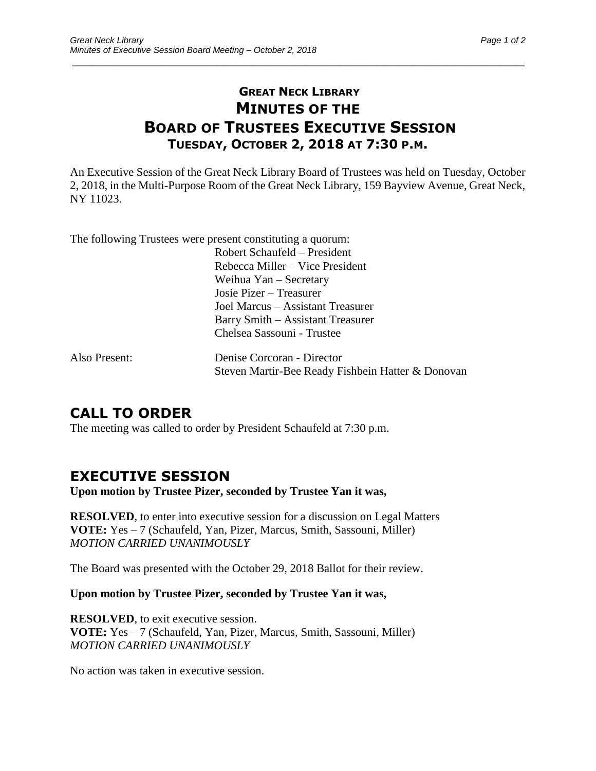#### **GREAT NECK LIBRARY MINUTES OF THE BOARD OF TRUSTEES EXECUTIVE SESSION TUESDAY, OCTOBER 2, 2018 AT 7:30 P.M.**

\_\_\_\_\_\_\_\_\_\_\_\_\_\_\_\_\_\_\_\_\_\_\_\_\_\_\_\_\_\_\_\_\_\_\_\_\_\_\_\_\_\_\_\_\_\_\_\_\_\_\_\_\_\_\_\_\_\_\_\_\_\_\_\_\_\_\_\_\_\_\_\_\_\_\_\_\_\_\_\_\_\_\_\_\_\_\_\_\_\_\_\_\_

An Executive Session of the Great Neck Library Board of Trustees was held on Tuesday, October 2, 2018, in the Multi-Purpose Room of the Great Neck Library, 159 Bayview Avenue, Great Neck, NY 11023.

|               | The following Trustees were present constituting a quorum: |
|---------------|------------------------------------------------------------|
|               | Robert Schaufeld – President                               |
|               | Rebecca Miller – Vice President                            |
|               | Weihua Yan – Secretary                                     |
|               | Josie Pizer – Treasurer                                    |
|               | Joel Marcus – Assistant Treasurer                          |
|               | Barry Smith – Assistant Treasurer                          |
|               | Chelsea Sassouni - Trustee                                 |
| Also Present: | Denise Corcoran - Director                                 |
|               | Steven Martir-Bee Ready Fishbein Hatter & Donovan          |

# **CALL TO ORDER**

The meeting was called to order by President Schaufeld at 7:30 p.m.

### **EXECUTIVE SESSION**

**Upon motion by Trustee Pizer, seconded by Trustee Yan it was,**

**RESOLVED**, to enter into executive session for a discussion on Legal Matters **VOTE:** Yes – 7 (Schaufeld, Yan, Pizer, Marcus, Smith, Sassouni, Miller) *MOTION CARRIED UNANIMOUSLY*

The Board was presented with the October 29, 2018 Ballot for their review.

#### **Upon motion by Trustee Pizer, seconded by Trustee Yan it was,**

**RESOLVED**, to exit executive session. **VOTE:** Yes – 7 (Schaufeld, Yan, Pizer, Marcus, Smith, Sassouni, Miller) *MOTION CARRIED UNANIMOUSLY*

No action was taken in executive session.